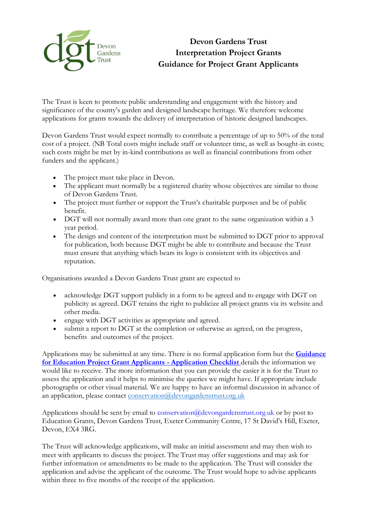

## **Devon Gardens Trust Interpretation Project Grants Guidance for Project Grant Applicants**

The Trust is keen to promote public understanding and engagement with the history and significance of the county's garden and designed landscape heritage. We therefore welcome applications for grants towards the delivery of interpretation of historic designed landscapes.

Devon Gardens Trust would expect normally to contribute a percentage of up to 50% of the total cost of a project. (NB Total costs might include staff or volunteer time, as well as bought-in costs; such costs might be met by in-kind contributions as well as financial contributions from other funders and the applicant.)

- The project must take place in Devon.
- The applicant must normally be a registered charity whose objectives are similar to those of Devon Gardens Trust.
- The project must further or support the Trust's charitable purposes and be of public benefit.
- DGT will not normally award more than one grant to the same organization within a 3 year period.
- The design and content of the interpretation must be submitted to DGT prior to approval for publication, both because DGT might be able to contribute and because the Trust must ensure that anything which bears its logo is consistent with its objectives and reputation.

Organisations awarded a Devon Gardens Trust grant are expected to

- acknowledge DGT support publicly in a form to be agreed and to engage with DGT on publicity as agreed. DGT retains the right to publicize all project grants via its website and other media.
- engage with DGT activities as appropriate and agreed.
- submit a report to DGT at the completion or otherwise as agreed, on the progress, benefits and outcomes of the project.

Applications may be submitted at any time. There is no formal application form but the **[Guidance](file://///sites/default/files/content/Education%252520Project%252520Application%252520Checklist.pdf)  [for Education Project Grant Applicants](file://///sites/default/files/content/Education%252520Project%252520Application%252520Checklist.pdf) - Application Checklis[t](file://///sites/default/files/content/Education%252520Project%252520Application%252520Checklist.pdf)** details the information we would like to receive. The more information that you can provide the easier it is for the Trust to assess the application and it helps to minimise the queries we might have. If appropriate include photographs or other visual material. We are happy to have an informal discussion in advance of an application, please contact [conservation@devongardenstrust.org.uk](mailto:conservation@devongardenstrust.org.uk)

Applications should be sent by email to conservation@devongardenstrust.org.uk or by post to Education Grants, Devon Gardens Trust, Exeter Community Centre, 17 St David's Hill, Exeter, Devon, EX4 3RG.

The Trust will acknowledge applications, will make an initial assessment and may then wish to meet with applicants to discuss the project. The Trust may offer suggestions and may ask for further information or amendments to be made to the application. The Trust will consider the application and advise the applicant of the outcome. The Trust would hope to advise applicants within three to five months of the receipt of the application.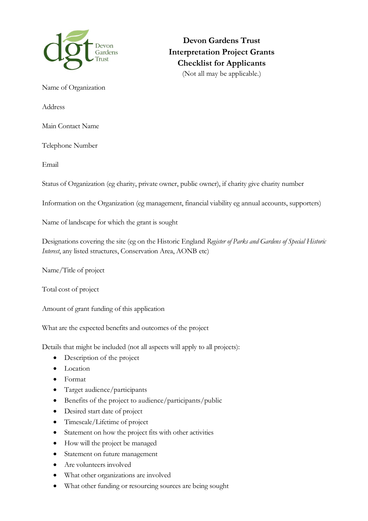

**Devon Gardens Trust Interpretation Project Grants Checklist for Applicants** (Not all may be applicable.)

Name of Organization

Address

Main Contact Name

Telephone Number

Email

Status of Organization (eg charity, private owner, public owner), if charity give charity number

Information on the Organization (eg management, financial viability eg annual accounts, supporters)

Name of landscape for which the grant is sought

Designations covering the site (eg on the Historic England *Register of Parks and Gardens of Special Historic Interest*, any listed structures, Conservation Area, AONB etc)

Name/Title of project

Total cost of project

Amount of grant funding of this application

What are the expected benefits and outcomes of the project

Details that might be included (not all aspects will apply to all projects):

- Description of the project
- Location
- Format
- Target audience/participants
- Benefits of the project to audience/participants/public
- Desired start date of project
- Timescale/Lifetime of project
- Statement on how the project fits with other activities
- How will the project be managed
- Statement on future management
- Are volunteers involved
- What other organizations are involved
- What other funding or resourcing sources are being sought